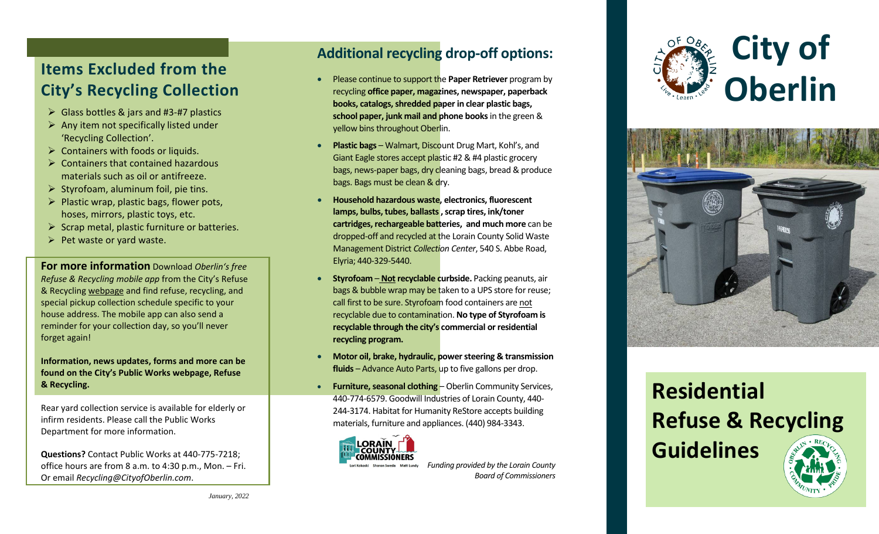# **Items Excluded from the City 's Recycling Collection**

- Glass bottles & jars and #3 -#7 plastics
- $\triangleright$  Any item not specifically listed under 'Recycling Collection' .
- $\triangleright$  Containers with foods or liquids.
- $\triangleright$  Containers that contained hazardous materials such as oil or antifreeze.
- $\triangleright$  Styrofoam, aluminum foil, pie tins.
- $\triangleright$  Plastic wrap, plastic bags, flower pots, hoses, mirrors, plastic toys, etc.
- $\triangleright$  Scrap metal, plastic furniture or batteries.
- $\triangleright$  Pet waste or yard waste.

**For more information** Download *Oberlin's free Refuse & Recycling mobile app* from the City's Refuse & Recycling webpage and find refuse, recycling, and special pickup collection schedule specific to your house address. The mobile app can also send a reminder for your collection day, so you'll never forget again!

### **Information, news updates, forms and more can be found on the City's Public Works webpage, Refuse & Recycling.**

Rear yard collection service is available for elderly or infirm residents. Please call the Public Works Department for more information.

**Questions?** Contact Public Works at 440 -775 -7218; office hours are from 8 a.m. to 4:30 p.m., Mon. – Fri. Or email *Recycling@CityofOberlin.com* .

### **Additional recycling drop -off options :**

- Please continue to support the **Paper Retriever** program by recycling **office paper, magazines, newspaper, paperback books, catalogs, shredded paper in clear plastic bags, school paper, junk mail and phone books**in the green & yellow bins throughout Oberlin .
- **Plastic bags** Walmart, Discount Drug Mart, Kohl's, and Giant Eagle stores accept plastic #2 & #4 plastic grocery bags, news-paper bags, dry cleaning bags, bread & produce bags . Bags must be clean & dry.
- **Household hazardous waste, electronics, fluorescent lamps, bulbs, tubes, ballasts , scrap tires, ink/toner cartridges, rechargeable batteries, and much more** can be dropped-off and recycled at the Lorain County Solid Waste Management District *Collection Center*, 540 S. Abbe Road , Elyria; 440 -329 -5440 .
- **Styrofoam Not recyclable curbside.** Packing peanuts, air bags & bubble wrap may be taken to a UPS store for reuse; call first to be sure. Styrofoam food containers are not recyclable due to contamination. **No type of Styrofoam is recyclable through the city's commercial or residential recycling program.**
- **Motor oil, brake, hydraulic, power steering & transmission fluids**  – Advance Auto Parts, up to five gallons per drop .
- **Furniture, seasonal clothing** Oberlin Community Services, 440 -774 -6579. Goodwill Industries of Lorain County, 440 - 244 -3174. Habitat for Humanity ReStore accepts building materials, furniture and appliances. (440) 984 -3343 .



 *Funding provided by the Lorain County Board of Commissioners*





# **Residential Refuse & Recycling Guidelines**